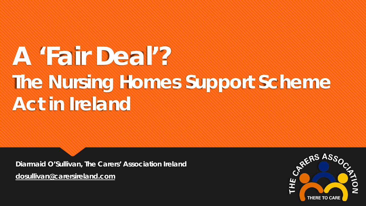# **A 'Fair Deal'? The Nursing Homes Support Scheme Act in Ireland**

**Diarmaid O'Sullivan, The Carers' Association Ireland [dosullivan@carersireland.com](mailto:dosullivan@carersireland.com)** 

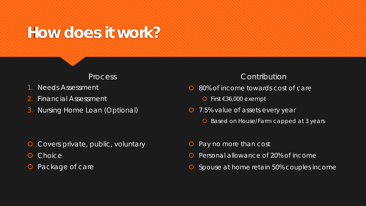## **How does it work?**

#### Process

- 1. Needs Assessment
- 2. Financial Assessment
- 3. Nursing Home Loan (Optional)

### **Contribution**

- **O** 80% of income towards cost of care
	- First €36,000 exempt
- **O** 7.5% value of assets every year
	- **O** Based on House/Farm capped at 3 years

- **O** Covers private, public, voluntary
- **O** Choice
- **O** Package of care
- **O** Pay no more than cost
- **O** Personal allowance of 20% of income
- **O** Spouse at home retain 50% couples income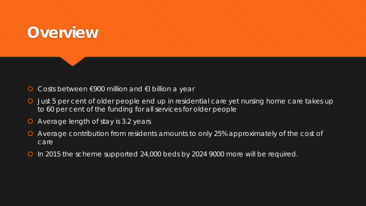## **Overview**

- O Costs between €900 million and €I billion a year
- Just 5 per cent of older people end up in residential care yet nursing home care takes up to 60 per cent of the funding for all services for older people
- Average length of stay is 3.2 years
- Average contribution from residents amounts to only 25% approximately of the cost of care
- O In 2015 the scheme supported 24,000 beds by 2024 9000 more will be required.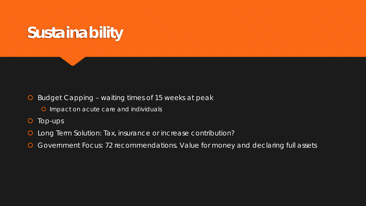

- **O** Budget Capping waiting times of 15 weeks at peak
	- **O** Impact on acute care and individuals
- O Top-ups
- Long Term Solution: Tax, insurance or increase contribution?
- Government Focus: 72 recommendations. Value for money and declaring full assets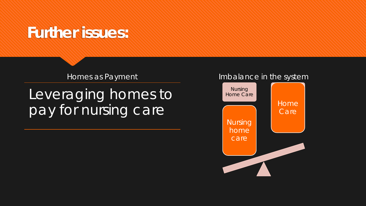## **Further issues:**

Homes as Payment

Leveraging homes to pay for nursing care

#### Imbalance in the system